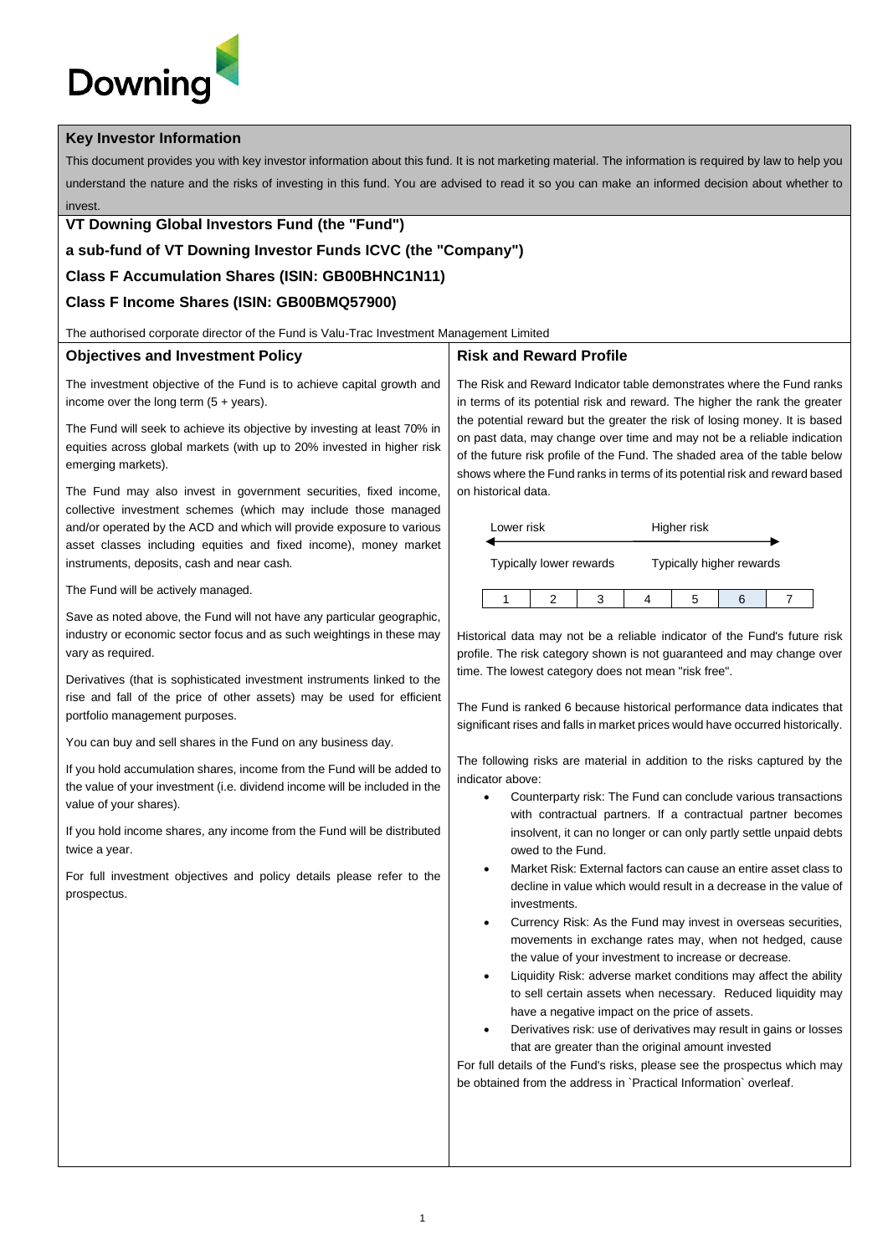# **Downing**

#### **Key Investor Information**

This document provides you with key investor information about this fund. It is not marketing material. The information is required by law to help you understand the nature and the risks of investing in this fund. You are advised to read it so you can make an informed decision about whether to invest.

#### **VT Downing Global Investors Fund (the "Fund")**

# **a sub-fund of VT Downing Investor Funds ICVC (the "Company")**

## **Class F Accumulation Shares (ISIN: GB00BHNC1N11)**

# **Class F Income Shares (ISIN: GB00BMQ57900)**

The authorised corporate director of the Fund is Valu-Trac Investment Management Limited

#### **Objectives and Investment Policy**

The investment objective of the Fund is to achieve capital growth and income over the long term  $(5 + \text{years})$ .

The Fund will seek to achieve its objective by investing at least 70% in equities across global markets (with up to 20% invested in higher risk emerging markets).

The Fund may also invest in government securities, fixed income, collective investment schemes (which may include those managed and/or operated by the ACD and which will provide exposure to various asset classes including equities and fixed income), money market instruments, deposits, cash and near cash.

The Fund will be actively managed.

Save as noted above, the Fund will not have any particular geographic, industry or economic sector focus and as such weightings in these may vary as required.

Derivatives (that is sophisticated investment instruments linked to the rise and fall of the price of other assets) may be used for efficient portfolio management purposes.

You can buy and sell shares in the Fund on any business day.

If you hold accumulation shares, income from the Fund will be added to the value of your investment (i.e. dividend income will be included in the value of your shares).

If you hold income shares, any income from the Fund will be distributed twice a year.

For full investment objectives and policy details please refer to the prospectus.

### **Risk and Reward Profile**

The Risk and Reward Indicator table demonstrates where the Fund ranks in terms of its potential risk and reward. The higher the rank the greater the potential reward but the greater the risk of losing money. It is based on past data, may change over time and may not be a reliable indication of the future risk profile of the Fund. The shaded area of the table below shows where the Fund ranks in terms of its potential risk and reward based on historical data.

| Lower risk |                         |  | Higher risk              |  |
|------------|-------------------------|--|--------------------------|--|
|            | Typically lower rewards |  | Typically higher rewards |  |
|            |                         |  |                          |  |

Historical data may not be a reliable indicator of the Fund's future risk profile. The risk category shown is not guaranteed and may change over time. The lowest category does not mean "risk free".

The Fund is ranked 6 because historical performance data indicates that significant rises and falls in market prices would have occurred historically.

The following risks are material in addition to the risks captured by the indicator above:

- Counterparty risk: The Fund can conclude various transactions with contractual partners. If a contractual partner becomes insolvent, it can no longer or can only partly settle unpaid debts owed to the Fund.
- Market Risk: External factors can cause an entire asset class to decline in value which would result in a decrease in the value of investments.
- Currency Risk: As the Fund may invest in overseas securities, movements in exchange rates may, when not hedged, cause the value of your investment to increase or decrease.
- Liquidity Risk: adverse market conditions may affect the ability to sell certain assets when necessary. Reduced liquidity may have a negative impact on the price of assets.
- Derivatives risk: use of derivatives may result in gains or losses that are greater than the original amount invested

For full details of the Fund's risks, please see the prospectus which may be obtained from the address in `Practical Information` overleaf.